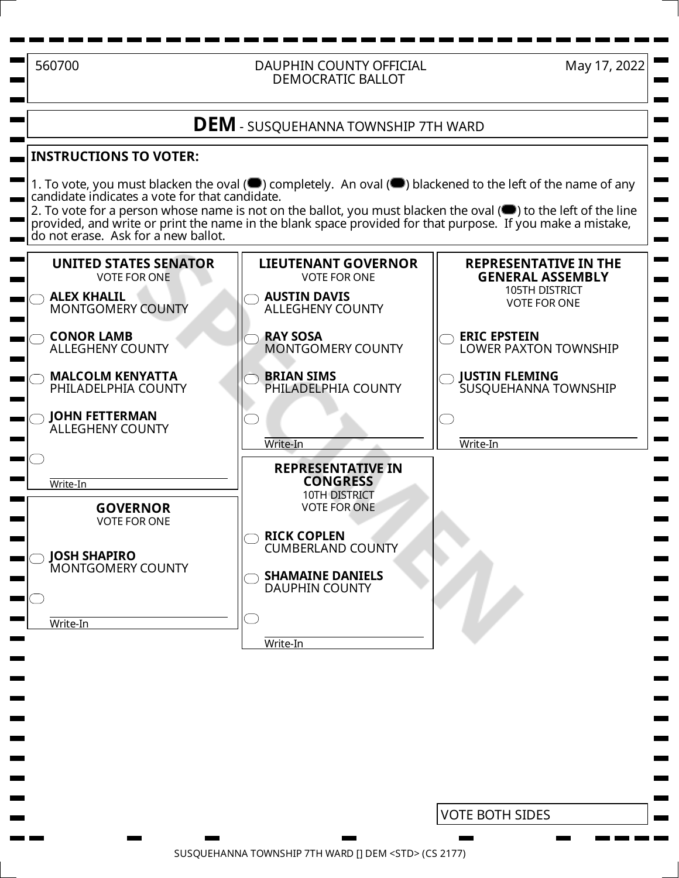## 560700 DAUPHIN COUNTY OFFICIAL DEMOCRATIC BALLOT

May 17, 2022

## **DEM** - SUSQUEHANNA TOWNSHIP 7TH WARD

## **INSTRUCTIONS TO VOTER:**

1. To vote, you must blacken the oval ( $\blacksquare$ ) completely. An oval ( $\blacksquare$ ) blackened to the left of the name of any candidate indicates a vote for that candidate.

2. To vote for a person whose name is not on the ballot, you must blacken the oval ( $\blacksquare$ ) to the left of the line provided, and write or print the name in the blank space provided for that purpose. If you make a mistake, do not erase. Ask for a new ballot.